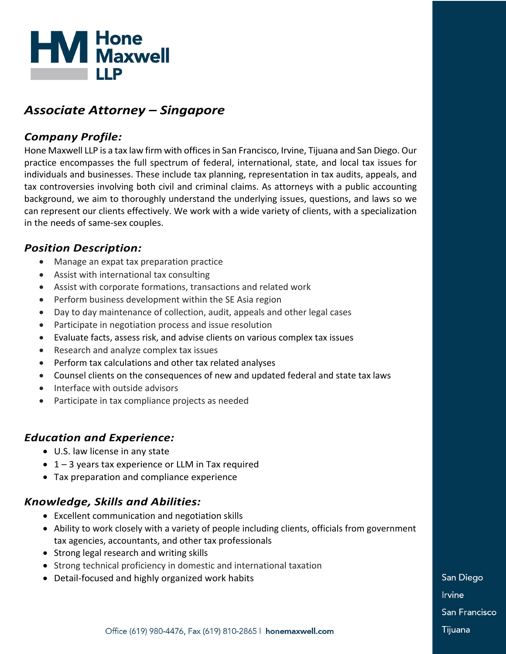

# *Associate Attorney – Singapore*

## *Company Profile:*

Hone Maxwell LLP is a tax law firm with offices in San Francisco, Irvine, Tijuana and San Diego. Our practice encompasses the full spectrum of federal, international, state, and local tax issues for individuals and businesses. These include tax planning, representation in tax audits, appeals, and tax controversies involving both civil and criminal claims. As attorneys with a public accounting background, we aim to thoroughly understand the underlying issues, questions, and laws so we can represent our clients effectively. We work with a wide variety of clients, with a specialization in the needs of same-sex couples.

## *Position Description:*

- Manage an expat tax preparation practice
- Assist with international tax consulting
- Assist with corporate formations, transactions and related work
- Perform business development within the SE Asia region
- Day to day maintenance of collection, audit, appeals and other legal cases
- Participate in negotiation process and issue resolution
- Evaluate facts, assess risk, and advise clients on various complex tax issues
- Research and analyze complex tax issues
- Perform tax calculations and other tax related analyses
- Counsel clients on the consequences of new and updated federal and state tax laws
- Interface with outside advisors
- Participate in tax compliance projects as needed

# *Education and Experience:*

- U.S. law license in any state
- $\bullet$  1 3 years tax experience or LLM in Tax required
- Tax preparation and compliance experience

#### *Knowledge, Skills and Abilities:*

- Excellent communication and negotiation skills
- Ability to work closely with a variety of people including clients, officials from government tax agencies, accountants, and other tax professionals
- Strong legal research and writing skills
- Strong technical proficiency in domestic and international taxation
- Detail-focused and highly organized work habits

San Diego **Irvine** San Francisco Tijuana